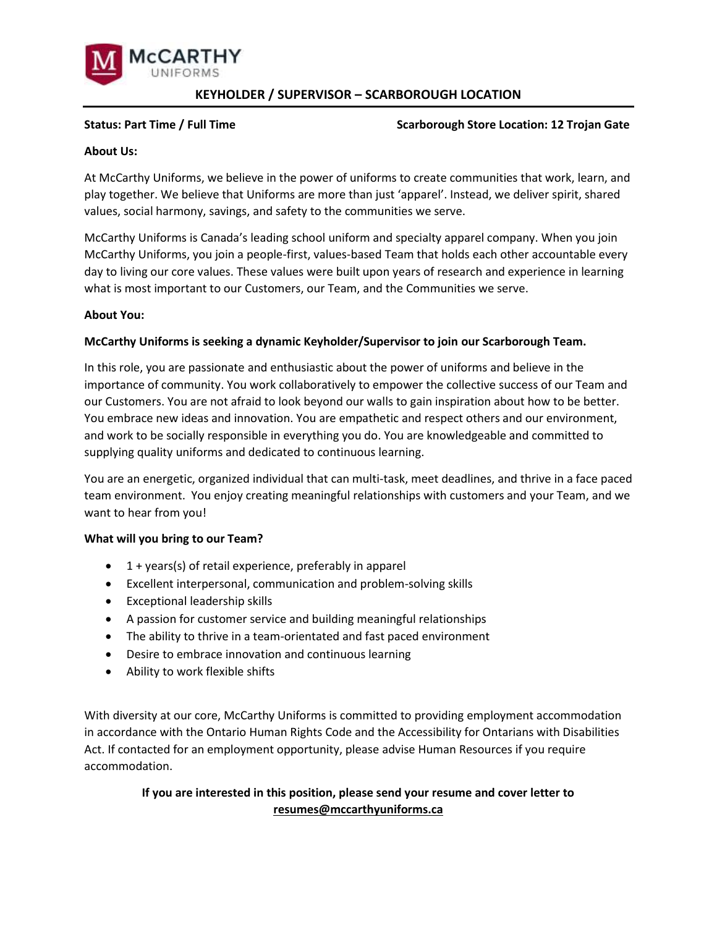

# **KEYHOLDER / SUPERVISOR – SCARBOROUGH LOCATION**

# **Status: Part Time / Full Time**  $\overline{a}$  **/ Full Time**  $\overline{b}$  **/ Scarborough Store Location: 12 Trojan Gate 2014**

# **About Us:**

At McCarthy Uniforms, we believe in the power of uniforms to create communities that work, learn, and play together. We believe that Uniforms are more than just 'apparel'. Instead, we deliver spirit, shared values, social harmony, savings, and safety to the communities we serve.

McCarthy Uniforms is Canada's leading school uniform and specialty apparel company. When you join McCarthy Uniforms, you join a people-first, values-based Team that holds each other accountable every day to living our core values. These values were built upon years of research and experience in learning what is most important to our Customers, our Team, and the Communities we serve.

# **About You:**

# **McCarthy Uniforms is seeking a dynamic Keyholder/Supervisor to join our Scarborough Team.**

In this role, you are passionate and enthusiastic about the power of uniforms and believe in the importance of community. You work collaboratively to empower the collective success of our Team and our Customers. You are not afraid to look beyond our walls to gain inspiration about how to be better. You embrace new ideas and innovation. You are empathetic and respect others and our environment, and work to be socially responsible in everything you do. You are knowledgeable and committed to supplying quality uniforms and dedicated to continuous learning.

You are an energetic, organized individual that can multi-task, meet deadlines, and thrive in a face paced team environment. You enjoy creating meaningful relationships with customers and your Team, and we want to hear from you!

### **What will you bring to our Team?**

- 1 + years(s) of retail experience, preferably in apparel
- Excellent interpersonal, communication and problem-solving skills
- Exceptional leadership skills
- A passion for customer service and building meaningful relationships
- The ability to thrive in a team-orientated and fast paced environment
- Desire to embrace innovation and continuous learning
- Ability to work flexible shifts

With diversity at our core, McCarthy Uniforms is committed to providing employment accommodation in accordance with the Ontario Human Rights Code and the Accessibility for Ontarians with Disabilities Act. If contacted for an employment opportunity, please advise Human Resources if you require accommodation.

# **If you are interested in this position, please send your resume and cover letter to [resumes@mccarthyuniforms.ca](mailto:resumes@mccarthyuniforms.ca)**